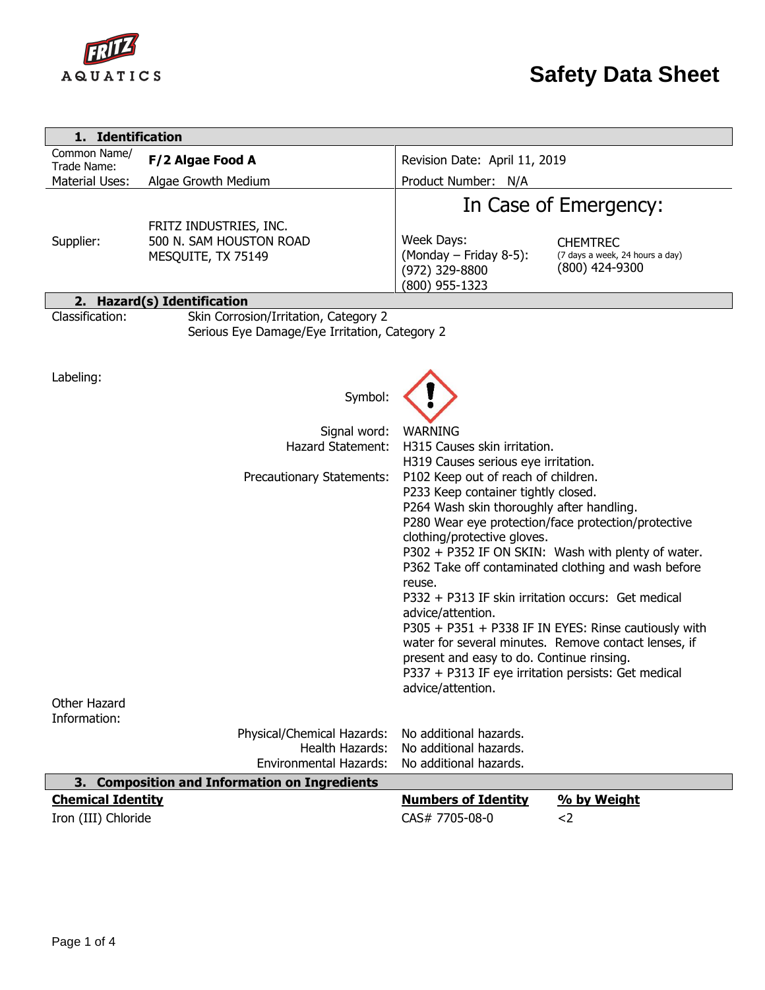

| 1. Identification             |                                                                                        |                                                                                                                                                                                                                                                                                                                                                                                                                                                                                                                                                                                                                                                          |  |  |  |
|-------------------------------|----------------------------------------------------------------------------------------|----------------------------------------------------------------------------------------------------------------------------------------------------------------------------------------------------------------------------------------------------------------------------------------------------------------------------------------------------------------------------------------------------------------------------------------------------------------------------------------------------------------------------------------------------------------------------------------------------------------------------------------------------------|--|--|--|
| Common Name/                  | F/2 Algae Food A                                                                       | Revision Date: April 11, 2019                                                                                                                                                                                                                                                                                                                                                                                                                                                                                                                                                                                                                            |  |  |  |
| Trade Name:<br>Material Uses: | Algae Growth Medium                                                                    | Product Number: N/A                                                                                                                                                                                                                                                                                                                                                                                                                                                                                                                                                                                                                                      |  |  |  |
|                               |                                                                                        | In Case of Emergency:                                                                                                                                                                                                                                                                                                                                                                                                                                                                                                                                                                                                                                    |  |  |  |
| Supplier:                     | FRITZ INDUSTRIES, INC.<br>500 N. SAM HOUSTON ROAD<br>MESQUITE, TX 75149                | Week Days:<br><b>CHEMTREC</b><br>(Monday - Friday 8-5):<br>(7 days a week, 24 hours a day)<br>(800) 424-9300<br>(972) 329-8800<br>(800) 955-1323                                                                                                                                                                                                                                                                                                                                                                                                                                                                                                         |  |  |  |
|                               | 2. Hazard(s) Identification                                                            |                                                                                                                                                                                                                                                                                                                                                                                                                                                                                                                                                                                                                                                          |  |  |  |
| Classification:               | Skin Corrosion/Irritation, Category 2<br>Serious Eye Damage/Eye Irritation, Category 2 |                                                                                                                                                                                                                                                                                                                                                                                                                                                                                                                                                                                                                                                          |  |  |  |
| Labeling:                     | Symbol:                                                                                |                                                                                                                                                                                                                                                                                                                                                                                                                                                                                                                                                                                                                                                          |  |  |  |
|                               | Signal word:<br><b>Hazard Statement:</b>                                               | <b>WARNING</b><br>H315 Causes skin irritation.<br>H319 Causes serious eye irritation.                                                                                                                                                                                                                                                                                                                                                                                                                                                                                                                                                                    |  |  |  |
| Other Hazard                  | Precautionary Statements:                                                              | P102 Keep out of reach of children.<br>P233 Keep container tightly closed.<br>P264 Wash skin thoroughly after handling.<br>P280 Wear eye protection/face protection/protective<br>clothing/protective gloves.<br>P302 + P352 IF ON SKIN: Wash with plenty of water.<br>P362 Take off contaminated clothing and wash before<br>reuse.<br>P332 + P313 IF skin irritation occurs: Get medical<br>advice/attention.<br>P305 + P351 + P338 IF IN EYES: Rinse cautiously with<br>water for several minutes. Remove contact lenses, if<br>present and easy to do. Continue rinsing.<br>P337 + P313 IF eye irritation persists: Get medical<br>advice/attention. |  |  |  |
| Information:                  |                                                                                        |                                                                                                                                                                                                                                                                                                                                                                                                                                                                                                                                                                                                                                                          |  |  |  |
|                               | Physical/Chemical Hazards:<br><b>Health Hazards:</b><br><b>Environmental Hazards:</b>  | No additional hazards.<br>No additional hazards.<br>No additional hazards.                                                                                                                                                                                                                                                                                                                                                                                                                                                                                                                                                                               |  |  |  |
|                               | 3. Composition and Information on Ingredients                                          |                                                                                                                                                                                                                                                                                                                                                                                                                                                                                                                                                                                                                                                          |  |  |  |
| <b>Chemical Identity</b>      |                                                                                        | <b>Numbers of Identity</b><br>% by Weight                                                                                                                                                                                                                                                                                                                                                                                                                                                                                                                                                                                                                |  |  |  |
| Iron (III) Chloride           |                                                                                        | CAS# 7705-08-0<br>$2$                                                                                                                                                                                                                                                                                                                                                                                                                                                                                                                                                                                                                                    |  |  |  |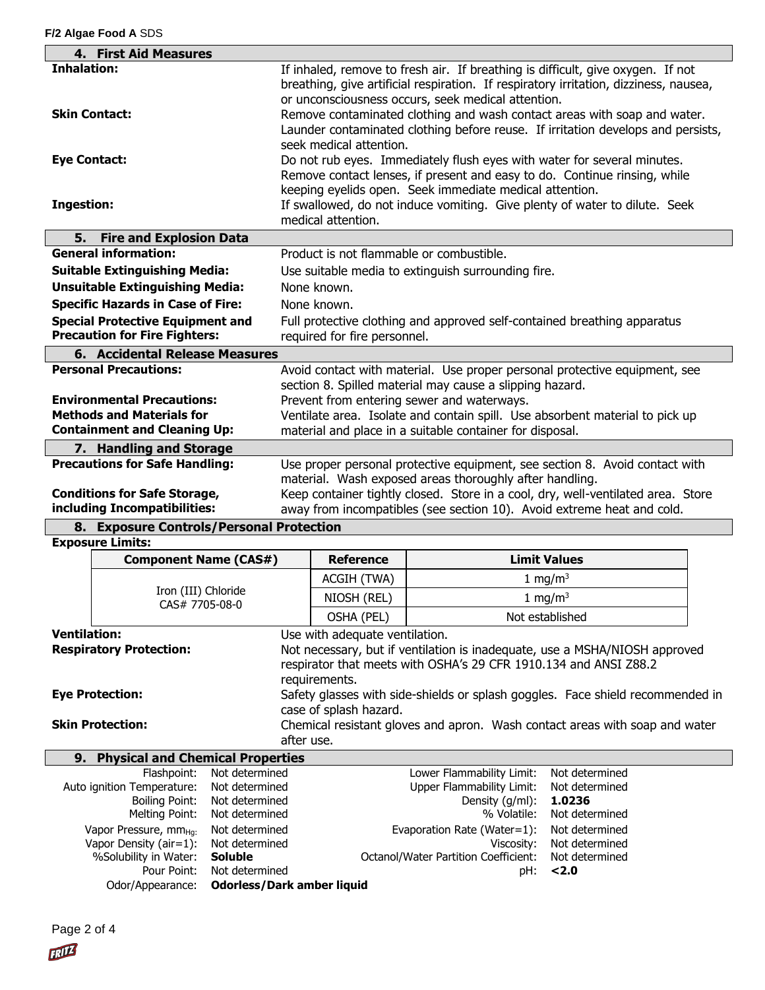|                                                       | 4. First Aid Measures                                       |                |                                                                                                                                                                                                                                                                                                                                                                                                |                                                         |                                                                                  |  |
|-------------------------------------------------------|-------------------------------------------------------------|----------------|------------------------------------------------------------------------------------------------------------------------------------------------------------------------------------------------------------------------------------------------------------------------------------------------------------------------------------------------------------------------------------------------|---------------------------------------------------------|----------------------------------------------------------------------------------|--|
| <b>Inhalation:</b>                                    |                                                             |                |                                                                                                                                                                                                                                                                                                                                                                                                |                                                         |                                                                                  |  |
| <b>Skin Contact:</b>                                  |                                                             |                | If inhaled, remove to fresh air. If breathing is difficult, give oxygen. If not<br>breathing, give artificial respiration. If respiratory irritation, dizziness, nausea,<br>or unconsciousness occurs, seek medical attention.<br>Remove contaminated clothing and wash contact areas with soap and water.<br>Launder contaminated clothing before reuse. If irritation develops and persists, |                                                         |                                                                                  |  |
|                                                       |                                                             |                | seek medical attention.                                                                                                                                                                                                                                                                                                                                                                        |                                                         |                                                                                  |  |
| <b>Eye Contact:</b>                                   |                                                             |                |                                                                                                                                                                                                                                                                                                                                                                                                |                                                         | Do not rub eyes. Immediately flush eyes with water for several minutes.          |  |
|                                                       |                                                             |                |                                                                                                                                                                                                                                                                                                                                                                                                |                                                         | Remove contact lenses, if present and easy to do. Continue rinsing, while        |  |
|                                                       |                                                             |                |                                                                                                                                                                                                                                                                                                                                                                                                | keeping eyelids open. Seek immediate medical attention. |                                                                                  |  |
| <b>Ingestion:</b>                                     |                                                             |                | If swallowed, do not induce vomiting. Give plenty of water to dilute. Seek                                                                                                                                                                                                                                                                                                                     |                                                         |                                                                                  |  |
|                                                       |                                                             |                | medical attention.                                                                                                                                                                                                                                                                                                                                                                             |                                                         |                                                                                  |  |
| 5.                                                    | <b>Fire and Explosion Data</b>                              |                |                                                                                                                                                                                                                                                                                                                                                                                                |                                                         |                                                                                  |  |
|                                                       | <b>General information:</b>                                 |                | Product is not flammable or combustible.                                                                                                                                                                                                                                                                                                                                                       |                                                         |                                                                                  |  |
|                                                       | <b>Suitable Extinguishing Media:</b>                        |                | Use suitable media to extinguish surrounding fire.                                                                                                                                                                                                                                                                                                                                             |                                                         |                                                                                  |  |
|                                                       | <b>Unsuitable Extinguishing Media:</b>                      |                | None known.                                                                                                                                                                                                                                                                                                                                                                                    |                                                         |                                                                                  |  |
|                                                       | <b>Specific Hazards in Case of Fire:</b>                    |                | None known.                                                                                                                                                                                                                                                                                                                                                                                    |                                                         |                                                                                  |  |
|                                                       | <b>Special Protective Equipment and</b>                     |                | Full protective clothing and approved self-contained breathing apparatus                                                                                                                                                                                                                                                                                                                       |                                                         |                                                                                  |  |
|                                                       | <b>Precaution for Fire Fighters:</b>                        |                | required for fire personnel.                                                                                                                                                                                                                                                                                                                                                                   |                                                         |                                                                                  |  |
|                                                       | 6. Accidental Release Measures                              |                |                                                                                                                                                                                                                                                                                                                                                                                                |                                                         |                                                                                  |  |
|                                                       | <b>Personal Precautions:</b>                                |                |                                                                                                                                                                                                                                                                                                                                                                                                |                                                         | Avoid contact with material. Use proper personal protective equipment, see       |  |
|                                                       | <b>Environmental Precautions:</b>                           |                | section 8. Spilled material may cause a slipping hazard.                                                                                                                                                                                                                                                                                                                                       |                                                         |                                                                                  |  |
|                                                       | <b>Methods and Materials for</b>                            |                | Prevent from entering sewer and waterways.                                                                                                                                                                                                                                                                                                                                                     |                                                         |                                                                                  |  |
|                                                       | <b>Containment and Cleaning Up:</b>                         |                | Ventilate area. Isolate and contain spill. Use absorbent material to pick up<br>material and place in a suitable container for disposal.                                                                                                                                                                                                                                                       |                                                         |                                                                                  |  |
|                                                       | 7. Handling and Storage                                     |                |                                                                                                                                                                                                                                                                                                                                                                                                |                                                         |                                                                                  |  |
|                                                       | <b>Precautions for Safe Handling:</b>                       |                |                                                                                                                                                                                                                                                                                                                                                                                                |                                                         | Use proper personal protective equipment, see section 8. Avoid contact with      |  |
|                                                       |                                                             |                |                                                                                                                                                                                                                                                                                                                                                                                                | material. Wash exposed areas thoroughly after handling. |                                                                                  |  |
|                                                       | <b>Conditions for Safe Storage,</b>                         |                |                                                                                                                                                                                                                                                                                                                                                                                                |                                                         | Keep container tightly closed. Store in a cool, dry, well-ventilated area. Store |  |
|                                                       | including Incompatibilities:                                |                |                                                                                                                                                                                                                                                                                                                                                                                                |                                                         | away from incompatibles (see section 10). Avoid extreme heat and cold.           |  |
|                                                       | 8. Exposure Controls/Personal Protection                    |                |                                                                                                                                                                                                                                                                                                                                                                                                |                                                         |                                                                                  |  |
|                                                       | <b>Exposure Limits:</b>                                     |                |                                                                                                                                                                                                                                                                                                                                                                                                |                                                         |                                                                                  |  |
|                                                       | <b>Component Name (CAS#)</b>                                |                | <b>Reference</b>                                                                                                                                                                                                                                                                                                                                                                               |                                                         | <b>Limit Values</b>                                                              |  |
|                                                       |                                                             |                | ACGIH (TWA)                                                                                                                                                                                                                                                                                                                                                                                    |                                                         | 1 mg/m <sup>3</sup>                                                              |  |
|                                                       | Iron (III) Chloride<br>CAS# 7705-08-0                       |                | NIOSH (REL)                                                                                                                                                                                                                                                                                                                                                                                    |                                                         | 1 mg/m <sup>3</sup>                                                              |  |
|                                                       |                                                             |                | OSHA (PEL)                                                                                                                                                                                                                                                                                                                                                                                     |                                                         | Not established                                                                  |  |
| <b>Ventilation:</b><br>Use with adequate ventilation. |                                                             |                |                                                                                                                                                                                                                                                                                                                                                                                                |                                                         |                                                                                  |  |
|                                                       | <b>Respiratory Protection:</b>                              |                | Not necessary, but if ventilation is inadequate, use a MSHA/NIOSH approved                                                                                                                                                                                                                                                                                                                     |                                                         |                                                                                  |  |
|                                                       |                                                             |                | respirator that meets with OSHA's 29 CFR 1910.134 and ANSI Z88.2                                                                                                                                                                                                                                                                                                                               |                                                         |                                                                                  |  |
|                                                       |                                                             |                | requirements.                                                                                                                                                                                                                                                                                                                                                                                  |                                                         |                                                                                  |  |
|                                                       | <b>Eye Protection:</b>                                      |                | Safety glasses with side-shields or splash goggles. Face shield recommended in                                                                                                                                                                                                                                                                                                                 |                                                         |                                                                                  |  |
| <b>Skin Protection:</b>                               |                                                             |                | case of splash hazard.<br>Chemical resistant gloves and apron. Wash contact areas with soap and water                                                                                                                                                                                                                                                                                          |                                                         |                                                                                  |  |
| after use.                                            |                                                             |                |                                                                                                                                                                                                                                                                                                                                                                                                |                                                         |                                                                                  |  |
| 9. Physical and Chemical Properties                   |                                                             |                |                                                                                                                                                                                                                                                                                                                                                                                                |                                                         |                                                                                  |  |
|                                                       | Flashpoint:                                                 | Not determined |                                                                                                                                                                                                                                                                                                                                                                                                | Lower Flammability Limit:                               | Not determined                                                                   |  |
|                                                       | Auto ignition Temperature:                                  | Not determined |                                                                                                                                                                                                                                                                                                                                                                                                | <b>Upper Flammability Limit:</b>                        | Not determined                                                                   |  |
|                                                       | <b>Boiling Point:</b>                                       | Not determined |                                                                                                                                                                                                                                                                                                                                                                                                | Density (g/ml):                                         | 1.0236                                                                           |  |
|                                                       | Melting Point:                                              | Not determined |                                                                                                                                                                                                                                                                                                                                                                                                | % Volatile:                                             | Not determined                                                                   |  |
|                                                       | Vapor Pressure, mm <sub>Hq:</sub><br>Vapor Density (air=1): | Not determined |                                                                                                                                                                                                                                                                                                                                                                                                | Evaporation Rate (Water=1):                             | Not determined                                                                   |  |
|                                                       | %Solubility in Water:<br><b>Soluble</b>                     | Not determined |                                                                                                                                                                                                                                                                                                                                                                                                | Viscosity:<br>Octanol/Water Partition Coefficient:      | Not determined<br>Not determined                                                 |  |
|                                                       | Pour Point:                                                 | Not determined |                                                                                                                                                                                                                                                                                                                                                                                                | pH:                                                     | 2.0                                                                              |  |
|                                                       | <b>Odorless/Dark amber liquid</b><br>Odor/Appearance:       |                |                                                                                                                                                                                                                                                                                                                                                                                                |                                                         |                                                                                  |  |

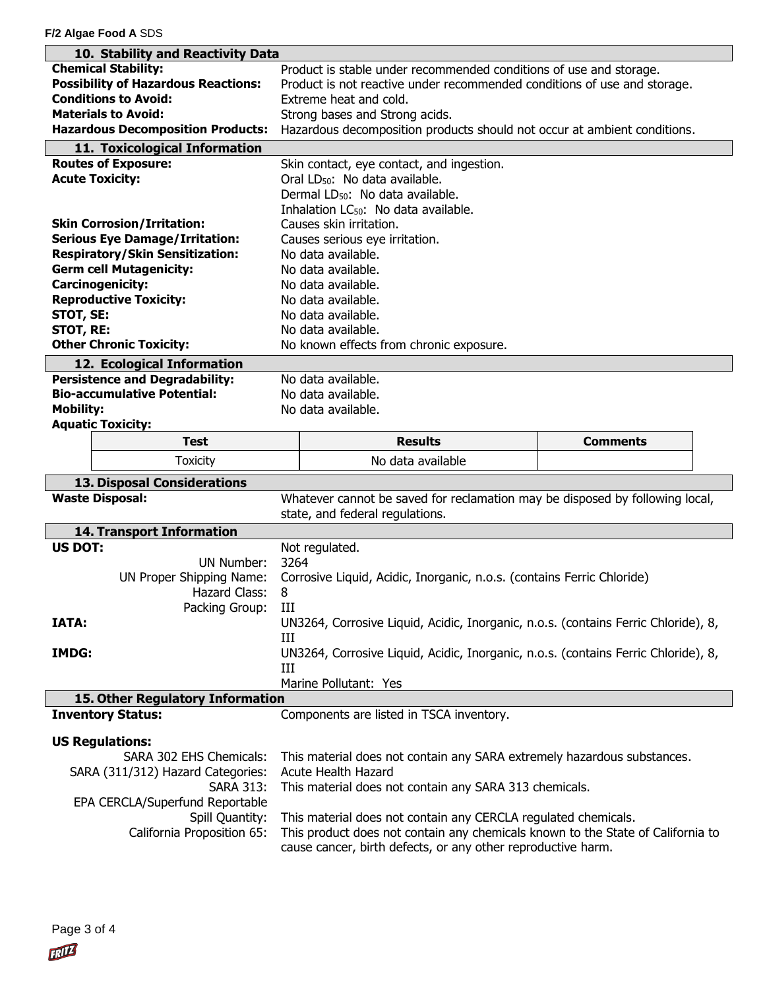**F/2 Algae Food A** SDS

| 10. Stability and Reactivity Data                     |                                                                                                                                                 |                 |  |  |  |
|-------------------------------------------------------|-------------------------------------------------------------------------------------------------------------------------------------------------|-----------------|--|--|--|
| <b>Chemical Stability:</b>                            | Product is stable under recommended conditions of use and storage.                                                                              |                 |  |  |  |
| <b>Possibility of Hazardous Reactions:</b>            | Product is not reactive under recommended conditions of use and storage.                                                                        |                 |  |  |  |
| <b>Conditions to Avoid:</b>                           | Extreme heat and cold.                                                                                                                          |                 |  |  |  |
| <b>Materials to Avoid:</b>                            | Strong bases and Strong acids.                                                                                                                  |                 |  |  |  |
| <b>Hazardous Decomposition Products:</b>              | Hazardous decomposition products should not occur at ambient conditions.                                                                        |                 |  |  |  |
| 11. Toxicological Information                         |                                                                                                                                                 |                 |  |  |  |
| <b>Routes of Exposure:</b>                            | Skin contact, eye contact, and ingestion.                                                                                                       |                 |  |  |  |
| <b>Acute Toxicity:</b>                                | Oral LD <sub>50</sub> : No data available.                                                                                                      |                 |  |  |  |
|                                                       | Dermal LD <sub>50</sub> : No data available.                                                                                                    |                 |  |  |  |
|                                                       | Inhalation LC <sub>50</sub> : No data available.                                                                                                |                 |  |  |  |
| <b>Skin Corrosion/Irritation:</b>                     | Causes skin irritation.                                                                                                                         |                 |  |  |  |
| <b>Serious Eye Damage/Irritation:</b>                 | Causes serious eye irritation.                                                                                                                  |                 |  |  |  |
| <b>Respiratory/Skin Sensitization:</b>                | No data available.                                                                                                                              |                 |  |  |  |
| <b>Germ cell Mutagenicity:</b>                        | No data available.                                                                                                                              |                 |  |  |  |
| <b>Carcinogenicity:</b>                               | No data available.                                                                                                                              |                 |  |  |  |
| <b>Reproductive Toxicity:</b>                         | No data available.                                                                                                                              |                 |  |  |  |
| STOT, SE:                                             | No data available.                                                                                                                              |                 |  |  |  |
| <b>STOT, RE:</b>                                      | No data available.                                                                                                                              |                 |  |  |  |
| <b>Other Chronic Toxicity:</b>                        | No known effects from chronic exposure.                                                                                                         |                 |  |  |  |
| 12. Ecological Information                            |                                                                                                                                                 |                 |  |  |  |
| <b>Persistence and Degradability:</b>                 | No data available.                                                                                                                              |                 |  |  |  |
| <b>Bio-accumulative Potential:</b>                    | No data available.                                                                                                                              |                 |  |  |  |
| <b>Mobility:</b>                                      | No data available.                                                                                                                              |                 |  |  |  |
| <b>Aquatic Toxicity:</b>                              |                                                                                                                                                 |                 |  |  |  |
| <b>Test</b>                                           | <b>Results</b>                                                                                                                                  | <b>Comments</b> |  |  |  |
|                                                       |                                                                                                                                                 |                 |  |  |  |
| <b>Toxicity</b>                                       | No data available                                                                                                                               |                 |  |  |  |
|                                                       |                                                                                                                                                 |                 |  |  |  |
| 13. Disposal Considerations<br><b>Waste Disposal:</b> | Whatever cannot be saved for reclamation may be disposed by following local,                                                                    |                 |  |  |  |
|                                                       | state, and federal regulations.                                                                                                                 |                 |  |  |  |
| 14. Transport Information                             |                                                                                                                                                 |                 |  |  |  |
| <b>US DOT:</b>                                        | Not regulated.                                                                                                                                  |                 |  |  |  |
| UN Number:                                            | 3264                                                                                                                                            |                 |  |  |  |
| UN Proper Shipping Name:                              | Corrosive Liquid, Acidic, Inorganic, n.o.s. (contains Ferric Chloride)                                                                          |                 |  |  |  |
| Hazard Class:                                         | 8                                                                                                                                               |                 |  |  |  |
| Packing Group:                                        | III                                                                                                                                             |                 |  |  |  |
| <b>IATA:</b>                                          | UN3264, Corrosive Liquid, Acidic, Inorganic, n.o.s. (contains Ferric Chloride), 8,                                                              |                 |  |  |  |
|                                                       | Ш                                                                                                                                               |                 |  |  |  |
| <b>IMDG:</b>                                          | UN3264, Corrosive Liquid, Acidic, Inorganic, n.o.s. (contains Ferric Chloride), 8,                                                              |                 |  |  |  |
|                                                       | Ш                                                                                                                                               |                 |  |  |  |
|                                                       | Marine Pollutant: Yes                                                                                                                           |                 |  |  |  |
| 15. Other Regulatory Information                      |                                                                                                                                                 |                 |  |  |  |
| <b>Inventory Status:</b>                              | Components are listed in TSCA inventory.                                                                                                        |                 |  |  |  |
|                                                       |                                                                                                                                                 |                 |  |  |  |
| <b>US Regulations:</b><br>SARA 302 EHS Chemicals:     |                                                                                                                                                 |                 |  |  |  |
|                                                       | This material does not contain any SARA extremely hazardous substances.<br><b>Acute Health Hazard</b>                                           |                 |  |  |  |
| SARA (311/312) Hazard Categories:<br><b>SARA 313:</b> | This material does not contain any SARA 313 chemicals.                                                                                          |                 |  |  |  |
| EPA CERCLA/Superfund Reportable                       |                                                                                                                                                 |                 |  |  |  |
| Spill Quantity:                                       | This material does not contain any CERCLA regulated chemicals.                                                                                  |                 |  |  |  |
| California Proposition 65:                            | This product does not contain any chemicals known to the State of California to<br>cause cancer, birth defects, or any other reproductive harm. |                 |  |  |  |